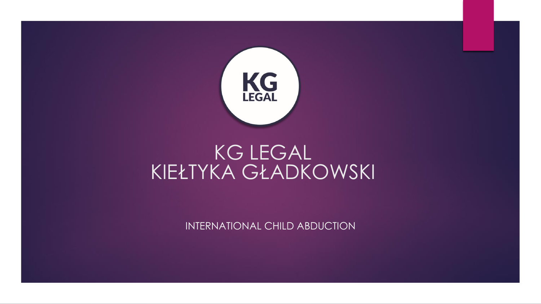

INTERNATIONAL CHILD ABDUCTION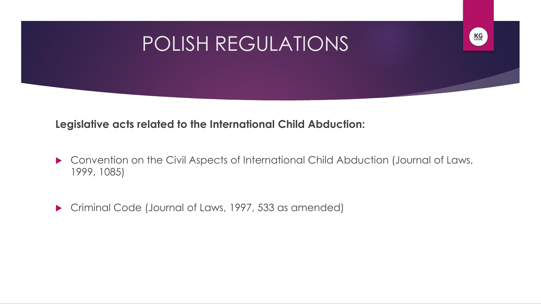# POLISH REGULATIONS

KG

### **Legislative acts related to the International Child Abduction:**

- ▶ Convention on the Civil Aspects of International Child Abduction (Journal of Laws, 1999, 1085)
- Criminal Code (Journal of Laws, 1997, 533 as amended)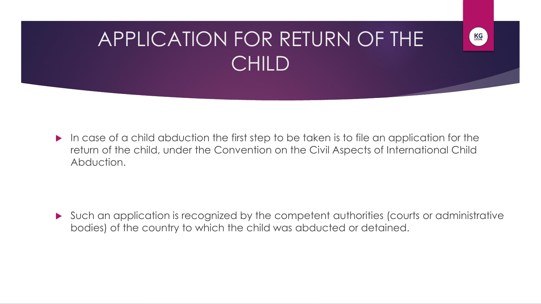# APPLICATION FOR RETURN OF THE CHILD

KG

 $\blacktriangleright$  In case of a child abduction the first step to be taken is to file an application for the return of the child, under the Convention on the Civil Aspects of International Child Abduction.

 Such an application is recognized by the competent authorities (courts or administrative bodies) of the country to which the child was abducted or detained.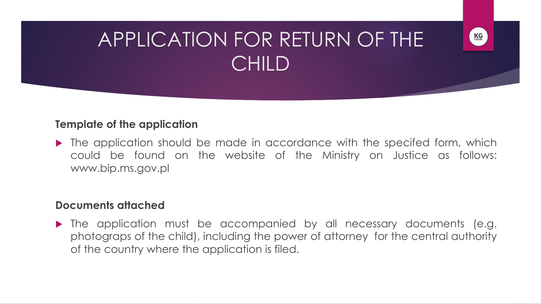# APPLICATION FOR RETURN OF THE CHILD

KG

#### **Template of the application**

• The application should be made in accordance with the specifed form, which could be found on the website of the Ministry on Justice as follows: www.bip.ms.gov.pl

#### **Documents attached**

 The application must be accompanied by all necessary documents (e.g. photograps of the child), including the power of attorney for the central authority of the country where the application is filed.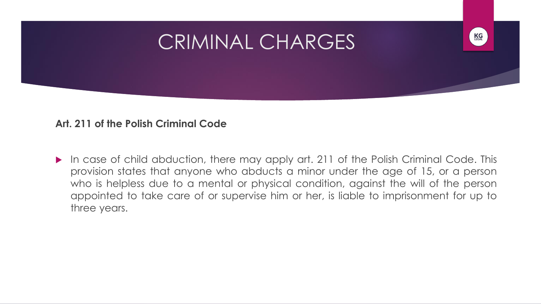### CRIMINAL CHARGES



#### **Art. 211 of the Polish Criminal Code**

In case of child abduction, there may apply art. 211 of the Polish Criminal Code. This provision states that anyone who abducts a minor under the age of 15, or a person who is helpless due to a mental or physical condition, against the will of the person appointed to take care of or supervise him or her, is liable to imprisonment for up to three years.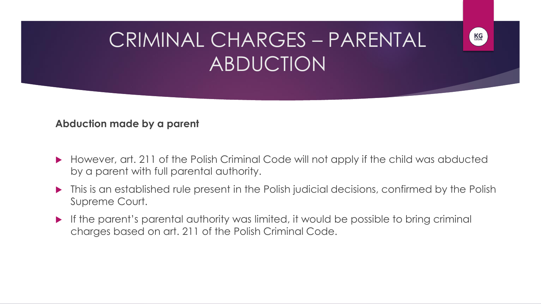# CRIMINAL CHARGES – PARENTAL ABDUCTION

KG

#### **Abduction made by a parent**

- ▶ However, art. 211 of the Polish Criminal Code will not apply if the child was abducted by a parent with full parental authority.
- $\blacktriangleright$  This is an established rule present in the Polish judicial decisions, confirmed by the Polish Supreme Court.
- If the parent's parental authority was limited, it would be possible to bring criminal charges based on art. 211 of the Polish Criminal Code.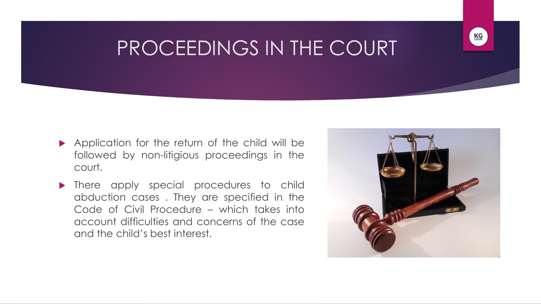### PROCEEDINGS IN THE COURT

- Application for the return of the child will be followed by non-litigious proceedings in the court.
- **There apply special procedures to child** abduction cases . They are specified in the Code of Civil Procedure – which takes into account difficulties and concerns of the case and the child's best interest.



KG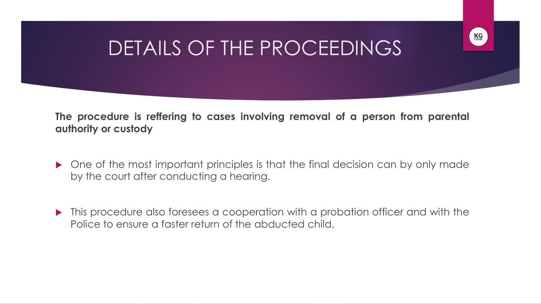# DETAILS OF THE PROCEEDINGS

KG

**The procedure is reffering to cases involving removal of a person from parental authority or custody**

- One of the most important principles is that the final decision can by only made by the court after conducting a hearing.
- **This procedure also foresees a cooperation with a probation officer and with the** Police to ensure a faster return of the abducted child.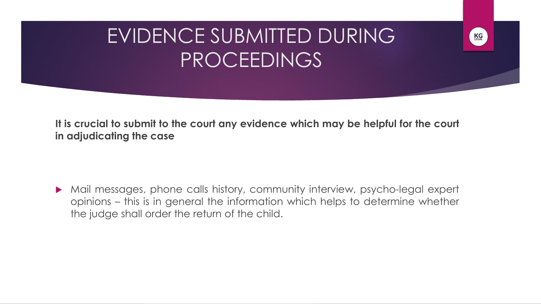# EVIDENCE SUBMITTED DURING PROCEEDINGS

KG

**It is crucial to submit to the court any evidence which may be helpful for the court in adjudicating the case**

 Mail messages, phone calls history, community interview, psycho-legal expert opinions – this is in general the information which helps to determine whether the judge shall order the return of the child.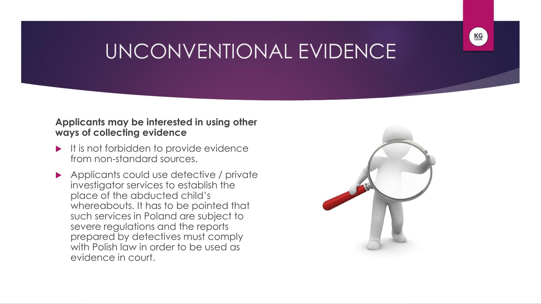# UNCONVENTIONAL EVIDENCE

#### **Applicants may be interested in using other ways of collecting evidence**

- $\blacktriangleright$  It is not forbidden to provide evidence from non-standard sources.
- Applicants could use detective / private investigator services to establish the place of the abducted child's whereabouts. It has to be pointed that such services in Poland are subject to severe regulations and the reports prepared by detectives must comply with Polish law in order to be used as evidence in court.



**KG**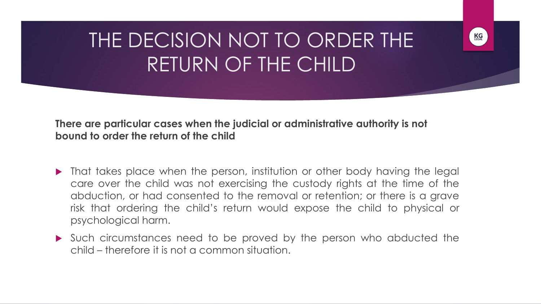# THE DECISION NOT TO ORDER THE RETURN OF THE CHILD

KG

**There are particular cases when the judicial or administrative authority is not bound to order the return of the child**

- That takes place when the person, institution or other body having the legal care over the child was not exercising the custody rights at the time of the abduction, or had consented to the removal or retention; or there is a grave risk that ordering the child's return would expose the child to physical or psychological harm.
- Such circumstances need to be proved by the person who abducted the child – therefore it is not a common situation.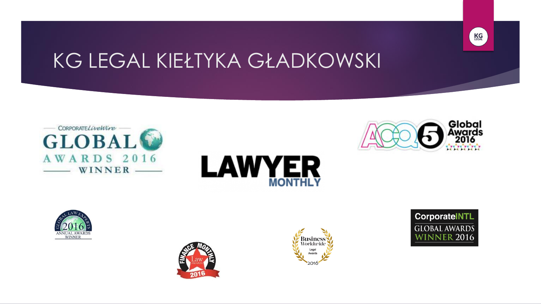













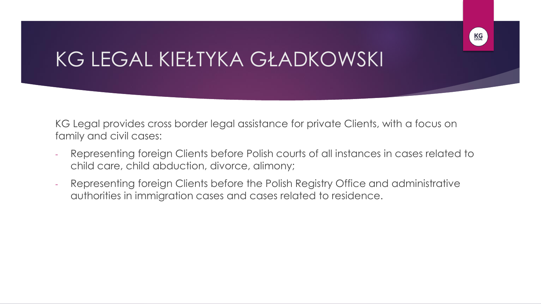

KG Legal provides cross border legal assistance for private Clients, with a focus on family and civil cases:

- Representing foreign Clients before Polish courts of all instances in cases related to child care, child abduction, divorce, alimony;
- Representing foreign Clients before the Polish Registry Office and administrative authorities in immigration cases and cases related to residence.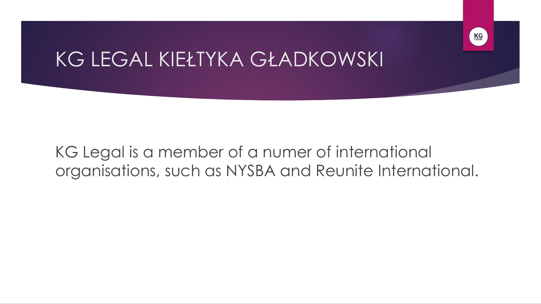### KG Legal is a member of a numer of international organisations, such as NYSBA and Reunite International.

KG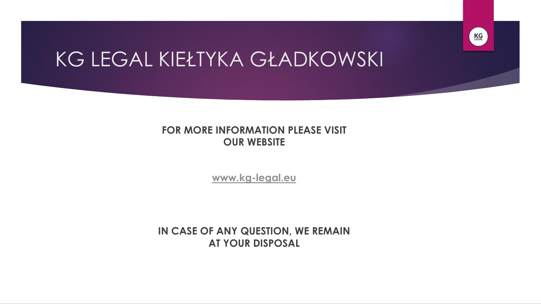

#### **FOR MORE INFORMATION PLEASE VISIT OUR WEBSITE**

**[www.kg-legal.eu](http://www.kg-legal.eu/)**

**IN CASE OF ANY QUESTION, WE REMAIN AT YOUR DISPOSAL**